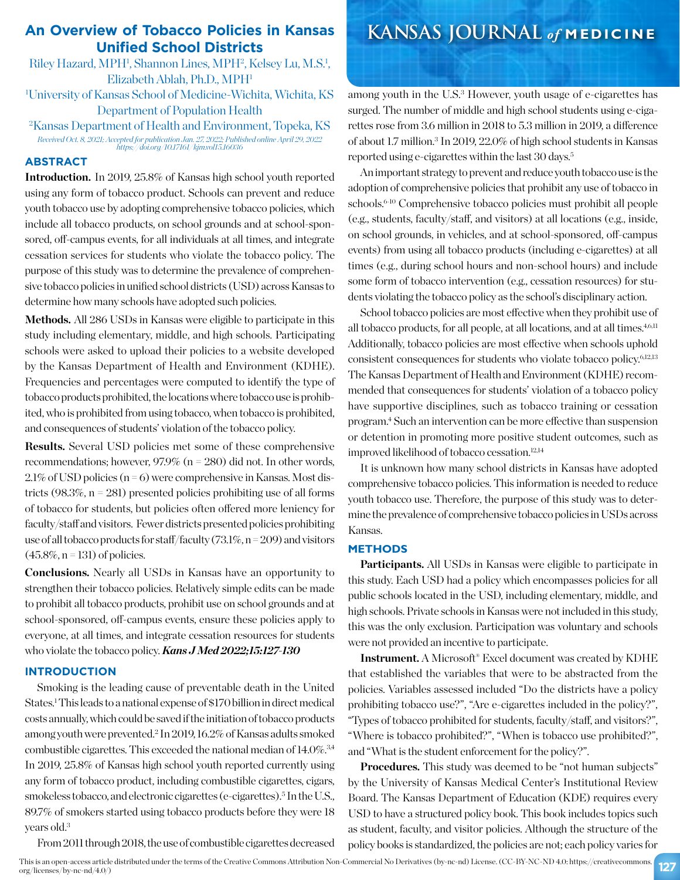# **An Overview of Tobacco Policies in Kansas Unified School Districts**

Riley Hazard, MPH<sup>1</sup>, Shannon Lines, MPH<sup>2</sup>, Kelsey Lu, M.S.<sup>1</sup>, Elizabeth Ablah, Ph.D., MPH1 1 University of Kansas School of Medicine-Wichita, Wichita, KS

Department of Population Health

2 Kansas Department of Health and Environment, Topeka, KS *Received Oct. 8, 2021; Accepted for publication Jan. 27, 2022; Published online April 29, 2022 https://doi.org/10.17161/kjm.vol15.16036*

## **ABSTRACT**

**Introduction.** In 2019, 25.8% of Kansas high school youth reported using any form of tobacco product. Schools can prevent and reduce youth tobacco use by adopting comprehensive tobacco policies, which include all tobacco products, on school grounds and at school-sponsored, off-campus events, for all individuals at all times, and integrate cessation services for students who violate the tobacco policy. The purpose of this study was to determine the prevalence of comprehensive tobacco policies in unified school districts (USD) across Kansas to determine how many schools have adopted such policies.

Methods. All 286 USDs in Kansas were eligible to participate in this study including elementary, middle, and high schools. Participating schools were asked to upload their policies to a website developed by the Kansas Department of Health and Environment (KDHE). Frequencies and percentages were computed to identify the type of tobacco products prohibited, the locations where tobacco use is prohibited, who is prohibited from using tobacco, when tobacco is prohibited, and consequences of students' violation of the tobacco policy.

**Results.** Several USD policies met some of these comprehensive recommendations; however, 97.9% (n = 280) did not. In other words,  $2.1\%$  of USD policies (n = 6) were comprehensive in Kansas. Most districts (98.3%,  $n = 281$ ) presented policies prohibiting use of all forms of tobacco for students, but policies often offered more leniency for faculty/staff and visitors. Fewer districts presented policies prohibiting use of all tobacco products for staff/faculty (73.1%, n = 209) and visitors  $(45.8\%, n = 131)$  of policies.

**Conclusions.** Nearly all USDs in Kansas have an opportunity to strengthen their tobacco policies. Relatively simple edits can be made to prohibit all tobacco products, prohibit use on school grounds and at school-sponsored, off-campus events, ensure these policies apply to everyone, at all times, and integrate cessation resources for students who violate the tobacco policy. *Kans J Med 2022;15:127-130*

### **INTRODUCTION**

Smoking is the leading cause of preventable death in the United States.<sup>1</sup> This leads to a national expense of \$170 billion in direct medical costs annually, which could be saved if the initiation of tobacco products among youth were prevented.2 In 2019, 16.2% of Kansas adults smoked combustible cigarettes. This exceeded the national median of 14.0%.<sup>3,4</sup> In 2019, 25.8% of Kansas high school youth reported currently using any form of tobacco product, including combustible cigarettes, cigars, smokeless tobacco, and electronic cigarettes (e-cigarettes).<sup>5</sup> In the U.S., 89.7% of smokers started using tobacco products before they were 18 years old.3

From 2011 through 2018, the use of combustible cigarettes decreased

# **KANSAS JOURNAL** *of* **MEDICINE**

among youth in the U.S.<sup>3</sup> However, youth usage of e-cigarettes has surged. The number of middle and high school students using e-cigarettes rose from 3.6 million in 2018 to 5.3 million in 2019, a difference of about 1.7 million.<sup>3</sup> In 2019, 22.0% of high school students in Kansas reported using e-cigarettes within the last 30 days.<sup>5</sup>

An important strategy to prevent and reduce youth tobacco use is the adoption of comprehensive policies that prohibit any use of tobacco in schools.6-10 Comprehensive tobacco policies must prohibit all people (e.g., students, faculty/staff, and visitors) at all locations (e.g., inside, on school grounds, in vehicles, and at school-sponsored, off-campus events) from using all tobacco products (including e-cigarettes) at all times (e.g., during school hours and non-school hours) and include some form of tobacco intervention (e.g., cessation resources) for students violating the tobacco policy as the school's disciplinary action.

School tobacco policies are most effective when they prohibit use of all tobacco products, for all people, at all locations, and at all times.<sup>4,6,11</sup> Additionally, tobacco policies are most effective when schools uphold consistent consequences for students who violate tobacco policy.6,12,13 The Kansas Department of Health and Environment (KDHE) recommended that consequences for students' violation of a tobacco policy have supportive disciplines, such as tobacco training or cessation program.4 Such an intervention can be more effective than suspension or detention in promoting more positive student outcomes, such as improved likelihood of tobacco cessation.<sup>12,14</sup>

It is unknown how many school districts in Kansas have adopted comprehensive tobacco policies. This information is needed to reduce youth tobacco use. Therefore, the purpose of this study was to determine the prevalence of comprehensive tobacco policies in USDs across Kansas.

## **METHODS**

**Participants.** All USDs in Kansas were eligible to participate in this study. Each USD had a policy which encompasses policies for all public schools located in the USD, including elementary, middle, and high schools. Private schools in Kansas were not included in this study, this was the only exclusion. Participation was voluntary and schools were not provided an incentive to participate.

**Instrument.** A Microsoft® Excel document was created by KDHE that established the variables that were to be abstracted from the policies. Variables assessed included "Do the districts have a policy prohibiting tobacco use?", "Are e-cigarettes included in the policy?", "Types of tobacco prohibited for students, faculty/staff, and visitors?", "Where is tobacco prohibited?", "When is tobacco use prohibited?", and "What is the student enforcement for the policy?".

**Procedures.** This study was deemed to be "not human subjects" by the University of Kansas Medical Center's Institutional Review Board. The Kansas Department of Education (KDE) requires every USD to have a structured policy book. This book includes topics such as student, faculty, and visitor policies. Although the structure of the policy books is standardized, the policies are not; each policy varies for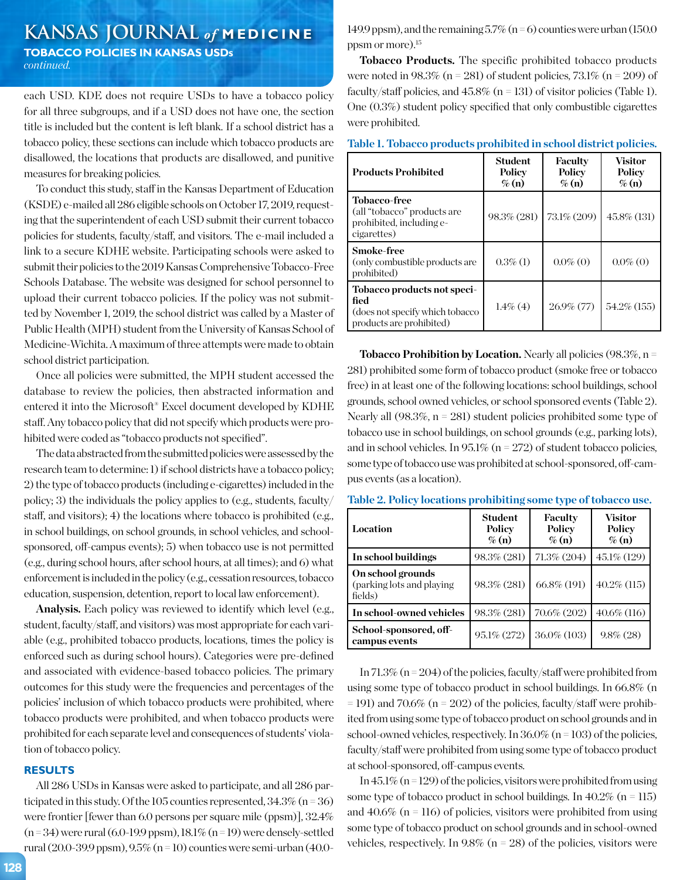# **KANSAS JOURNAL** *of* **MEDICINE**

**TOBACCO POLICIES IN KANSAS USDs** *continued.*

each USD. KDE does not require USDs to have a tobacco policy for all three subgroups, and if a USD does not have one, the section title is included but the content is left blank. If a school district has a tobacco policy, these sections can include which tobacco products are disallowed, the locations that products are disallowed, and punitive measures for breaking policies.

To conduct this study, staff in the Kansas Department of Education (KSDE) e-mailed all 286 eligible schools on October 17, 2019, requesting that the superintendent of each USD submit their current tobacco policies for students, faculty/staff, and visitors. The e-mail included a link to a secure KDHE website. Participating schools were asked to submit their policies to the 2019 Kansas Comprehensive Tobacco-Free Schools Database. The website was designed for school personnel to upload their current tobacco policies. If the policy was not submitted by November 1, 2019, the school district was called by a Master of Public Health (MPH) student from the University of Kansas School of Medicine-Wichita. A maximum of three attempts were made to obtain school district participation.

Once all policies were submitted, the MPH student accessed the database to review the policies, then abstracted information and entered it into the Microsoft® Excel document developed by KDHE staff. Any tobacco policy that did not specify which products were prohibited were coded as "tobacco products not specified".

The data abstracted from the submitted policies were assessed by the research team to determine: 1) if school districts have a tobacco policy; 2) the type of tobacco products (including e-cigarettes) included in the policy; 3) the individuals the policy applies to (e.g., students, faculty/ staff, and visitors); 4) the locations where tobacco is prohibited (e.g., in school buildings, on school grounds, in school vehicles, and schoolsponsored, off-campus events); 5) when tobacco use is not permitted (e.g., during school hours, after school hours, at all times); and 6) what enforcement is included in the policy (e.g., cessation resources, tobacco education, suspension, detention, report to local law enforcement).

**Analysis.** Each policy was reviewed to identify which level (e.g., student, faculty/staff, and visitors) was most appropriate for each variable (e.g., prohibited tobacco products, locations, times the policy is enforced such as during school hours). Categories were pre-defined and associated with evidence-based tobacco policies. The primary outcomes for this study were the frequencies and percentages of the policies' inclusion of which tobacco products were prohibited, where tobacco products were prohibited, and when tobacco products were prohibited for each separate level and consequences of students' violation of tobacco policy.

#### **RESULTS**

All 286 USDs in Kansas were asked to participate, and all 286 participated in this study. Of the 105 counties represented,  $34.3\%$  (n = 36) were frontier [fewer than 6.0 persons per square mile (ppsm)], 32.4%  $(n=34)$  were rural  $(6.0-19.9$  ppsm),  $18.1\%$   $(n=19)$  were densely-settled rural (20.0-39.9 ppsm),  $9.5\%$  (n = 10) counties were semi-urban (40.0149.9 ppsm), and the remaining  $5.7\%$  (n = 6) counties were urban (150.0 ppsm or more).15

**Tobacco Products.** The specific prohibited tobacco products were noted in  $98.3\%$  (n = 281) of student policies,  $73.1\%$  (n = 209) of faculty/staff policies, and  $45.8\%$  (n = 131) of visitor policies (Table 1). One (0.3%) student policy specified that only combustible cigarettes were prohibited.

|  |  |  |  | Table 1. Tobacco products prohibited in school district policies. |
|--|--|--|--|-------------------------------------------------------------------|
|--|--|--|--|-------------------------------------------------------------------|

| <b>Products Prohibited</b>                                                                          | <b>Student</b><br>Policy<br>$\%$ (n) | Faculty<br>Policy<br>$\%$ (n) | Visitor<br>Policy<br>$\%$ (n) |
|-----------------------------------------------------------------------------------------------------|--------------------------------------|-------------------------------|-------------------------------|
| <b>Tobacco-free</b><br>(all "tobacco" products are<br>prohibited, including e-<br>cigarettes)       | 98.3% (281)                          | 73.1% (209)                   | $45.8\%$ (131)                |
| <b>Smoke-free</b><br>(only combustible products are<br>prohibited)                                  | $0.3\%$ (1)                          | $0.0\%$ (0)                   | $0.0\%$ (0)                   |
| Tobacco products not speci-<br>fied<br>(does not specify which tobacco)<br>products are prohibited) | $1.4\%$ (4)                          | $26.9\%$ (77)                 | 54.2\% (155)                  |

**Tobacco Prohibition by Location.** Nearly all policies (98.3%, n = 281) prohibited some form of tobacco product (smoke free or tobacco free) in at least one of the following locations: school buildings, school grounds, school owned vehicles, or school sponsored events (Table 2). Nearly all (98.3%, n = 281) student policies prohibited some type of tobacco use in school buildings, on school grounds (e.g., parking lots), and in school vehicles. In 95.1% ( $n = 272$ ) of student tobacco policies, some type of tobacco use was prohibited at school-sponsored, off-campus events (as a location).

| Table 2. Policy locations prohibiting some type of tobacco use. |  |                             |  |
|-----------------------------------------------------------------|--|-----------------------------|--|
|                                                                 |  | Student   Faculty   Visitor |  |

| Student<br>Policy<br>$\%$ (n) | Faculty<br>Policy<br>$\%$ (n) | Visitor<br>Policy<br>$\%$ (n) |
|-------------------------------|-------------------------------|-------------------------------|
| 98.3% (281)                   | 71.3% (204)                   | 45.1\% (129)                  |
| 98.3% (281)                   | 66.8% (191)                   | $40.2\%$ (115)                |
| 98.3% (281)                   | 70.6% (202)                   | $40.6\%$ (116)                |
| 95.1% (272)                   | 36.0% (103)                   | $9.8\%$ (28)                  |
|                               |                               |                               |

In 71.3% ( $n = 204$ ) of the policies, faculty/staff were prohibited from using some type of tobacco product in school buildings. In 66.8% (n  $=$  191) and 70.6% (n  $=$  202) of the policies, faculty/staff were prohibited from using some type of tobacco product on school grounds and in school-owned vehicles, respectively. In  $36.0\%$  (n = 103) of the policies, faculty/staff were prohibited from using some type of tobacco product at school-sponsored, off-campus events.

In  $45.1\%$  (n = 129) of the policies, visitors were prohibited from using some type of tobacco product in school buildings. In  $40.2\%$  (n = 115) and  $40.6\%$  (n = 116) of policies, visitors were prohibited from using some type of tobacco product on school grounds and in school-owned vehicles, respectively. In  $9.8\%$  (n = 28) of the policies, visitors were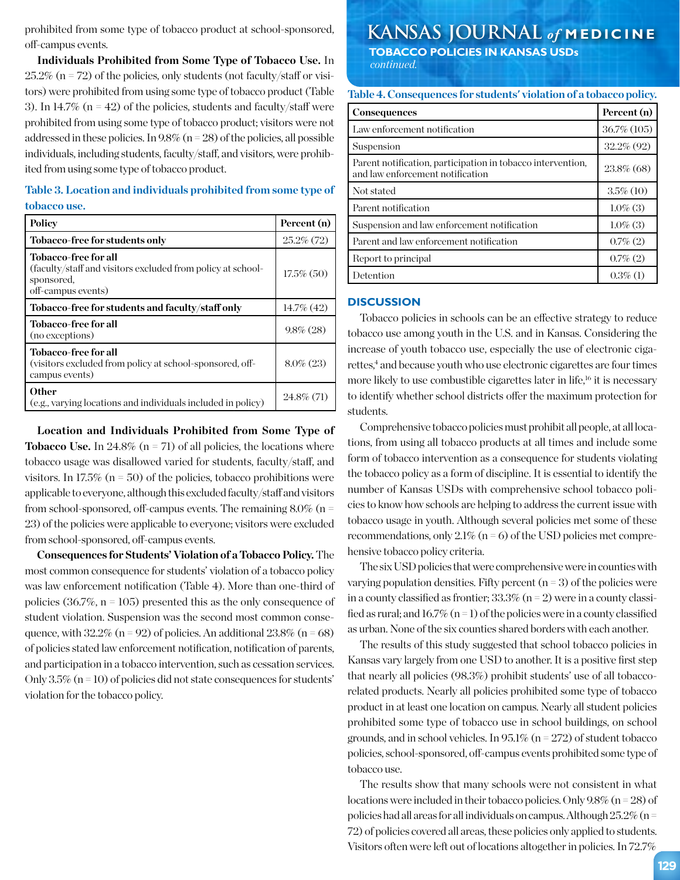prohibited from some type of tobacco product at school-sponsored, off-campus events.

**Individuals Prohibited from Some Type of Tobacco Use.** In  $25.2\%$  (n = 72) of the policies, only students (not faculty/staff or visitors) were prohibited from using some type of tobacco product (Table 3). In 14.7% ( $n = 42$ ) of the policies, students and faculty/staff were prohibited from using some type of tobacco product; visitors were not addressed in these policies. In  $9.8\%$  (n = 28) of the policies, all possible individuals, including students, faculty/staff, and visitors, were prohibited from using some type of tobacco product.

**Table 3. Location and individuals prohibited from some type of tobacco use.** 

| Policy                                                                                                                  | Percent (n)   |
|-------------------------------------------------------------------------------------------------------------------------|---------------|
| Tobacco-free for students only                                                                                          | $25.2\%$ (72) |
| Tobacco-free for all<br>(faculty/staff and visitors excluded from policy at school-<br>sponsored.<br>off-campus events) | $17.5\%$ (50) |
| Tobacco-free for students and faculty/staff only                                                                        | $14.7\%$ (42) |
| Tobacco-free for all<br>(no exceptions)                                                                                 | $9.8\%$ (28)  |
| Tobacco-free for all<br>(visitors excluded from policy at school-sponsored, off-<br>campus events)                      | $8.0\%$ (23)  |
| <b>Other</b><br>(e.g., varying locations and individuals included in policy)                                            | $24.8\%$ (71) |
|                                                                                                                         |               |

**Location and Individuals Prohibited from Some Type of Tobacco Use.** In 24.8% ( $n = 71$ ) of all policies, the locations where tobacco usage was disallowed varied for students, faculty/staff, and visitors. In 17.5% ( $n = 50$ ) of the policies, tobacco prohibitions were applicable to everyone, although this excluded faculty/staff and visitors from school-sponsored, off-campus events. The remaining  $8.0\%$  (n = 23) of the policies were applicable to everyone; visitors were excluded from school-sponsored, off-campus events.

**Consequences for Students' Violation of a Tobacco Policy.** The most common consequence for students' violation of a tobacco policy was law enforcement notification (Table 4). More than one-third of policies  $(36.7\%, n = 105)$  presented this as the only consequence of student violation. Suspension was the second most common consequence, with  $32.2\%$  (n = 92) of policies. An additional  $23.8\%$  (n = 68) of policies stated law enforcement notification, notification of parents, and participation in a tobacco intervention, such as cessation services. Only  $3.5\%$  (n = 10) of policies did not state consequences for students' violation for the tobacco policy.

# **KANSAS JOURNAL** *of* **MEDICINE TOBACCO POLICIES IN KANSAS USDs**

 *continued.*

**Table 4. Consequences for students' violation of a tobacco policy.**

| <b>Consequences</b>                                                                             | Percent (n)   |
|-------------------------------------------------------------------------------------------------|---------------|
| Law enforcement notification                                                                    | 36.7% (105)   |
| Suspension                                                                                      | $32.2\%$ (92) |
| Parent notification, participation in tobacco intervention,<br>and law enforcement notification | 23.8% (68)    |
| Not stated                                                                                      | $3.5\%$ (10)  |
| Parent notification                                                                             | $1.0\%$ (3)   |
| Suspension and law enforcement notification                                                     | $1.0\%$ (3)   |
| Parent and law enforcement notification                                                         | $0.7\%$ (2)   |
| Report to principal                                                                             | $0.7\%$ (2)   |
| Detention                                                                                       | $0.3\%$ (1)   |

#### **DISCUSSION**

Tobacco policies in schools can be an effective strategy to reduce tobacco use among youth in the U.S. and in Kansas. Considering the increase of youth tobacco use, especially the use of electronic cigarettes,<sup>4</sup> and because youth who use electronic cigarettes are four times more likely to use combustible cigarettes later in life,<sup>16</sup> it is necessary to identify whether school districts offer the maximum protection for students.

Comprehensive tobacco policies must prohibit all people, at all locations, from using all tobacco products at all times and include some form of tobacco intervention as a consequence for students violating the tobacco policy as a form of discipline. It is essential to identify the number of Kansas USDs with comprehensive school tobacco policies to know how schools are helping to address the current issue with tobacco usage in youth. Although several policies met some of these recommendations, only  $2.1\%$  (n = 6) of the USD policies met comprehensive tobacco policy criteria.

The six USD policies that were comprehensive were in counties with varying population densities. Fifty percent  $(n = 3)$  of the policies were in a county classified as frontier;  $33.3\%$  (n = 2) were in a county classified as rural; and  $16.7\%$  (n = 1) of the policies were in a county classified as urban. None of the six counties shared borders with each another.

The results of this study suggested that school tobacco policies in Kansas vary largely from one USD to another. It is a positive first step that nearly all policies (98.3%) prohibit students' use of all tobaccorelated products. Nearly all policies prohibited some type of tobacco product in at least one location on campus. Nearly all student policies prohibited some type of tobacco use in school buildings, on school grounds, and in school vehicles. In  $95.1\%$  (n = 272) of student tobacco policies, school-sponsored, off-campus events prohibited some type of tobacco use.

The results show that many schools were not consistent in what locations were included in their tobacco policies. Only 9.8% (n = 28) of policies had all areas for all individuals on campus. Although  $25.2\%$  (n = 72) of policies covered all areas, these policies only applied to students. Visitors often were left out of locations altogether in policies. In 72.7%